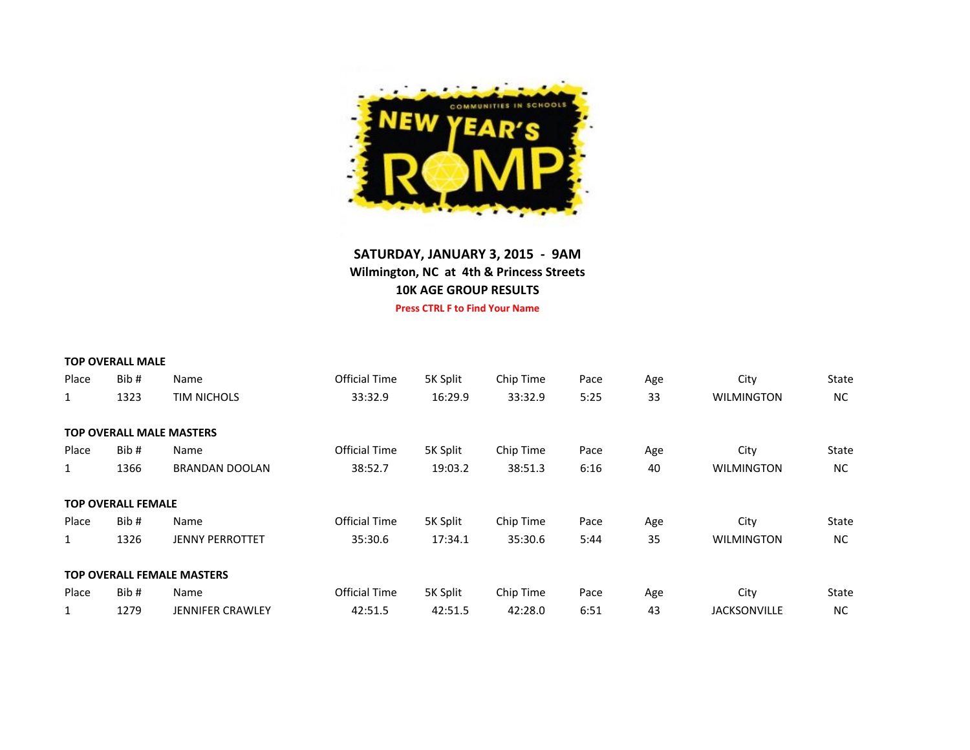

## **SATURDAY, JANUARY 3, 2015 - 9AM Wilmington, NC at 4th & Princess Streets 10K AGE GROUP RESULTS Press CTRL F to Find Your Name**

|              | <b>TOP OVERALL MALE</b>   |                                   |                      |          |           |      |     |                     |       |
|--------------|---------------------------|-----------------------------------|----------------------|----------|-----------|------|-----|---------------------|-------|
| Place        | Bib#                      | Name                              | Official Time        | 5K Split | Chip Time | Pace | Age | City                | State |
| $\mathbf{1}$ | 1323                      | <b>TIM NICHOLS</b>                | 33:32.9              | 16:29.9  | 33:32.9   | 5:25 | 33  | <b>WILMINGTON</b>   | NC.   |
|              |                           | <b>TOP OVERALL MALE MASTERS</b>   |                      |          |           |      |     |                     |       |
| Place        | Bib#                      | Name                              | Official Time        | 5K Split | Chip Time | Pace | Age | City                | State |
| $\mathbf{1}$ | 1366                      | <b>BRANDAN DOOLAN</b>             | 38:52.7              | 19:03.2  | 38:51.3   | 6:16 | 40  | <b>WILMINGTON</b>   | NC.   |
|              | <b>TOP OVERALL FEMALE</b> |                                   |                      |          |           |      |     |                     |       |
| Place        | Bib#                      | Name                              | Official Time        | 5K Split | Chip Time | Pace | Age | City                | State |
| $\mathbf{1}$ | 1326                      | <b>JENNY PERROTTET</b>            | 35:30.6              | 17:34.1  | 35:30.6   | 5:44 | 35  | <b>WILMINGTON</b>   | NC.   |
|              |                           | <b>TOP OVERALL FEMALE MASTERS</b> |                      |          |           |      |     |                     |       |
| Place        | Bib#                      | Name                              | <b>Official Time</b> | 5K Split | Chip Time | Pace | Age | City                | State |
| $\mathbf{1}$ | 1279                      | <b>JENNIFER CRAWLEY</b>           | 42:51.5              | 42:51.5  | 42:28.0   | 6:51 | 43  | <b>JACKSONVILLE</b> | NC.   |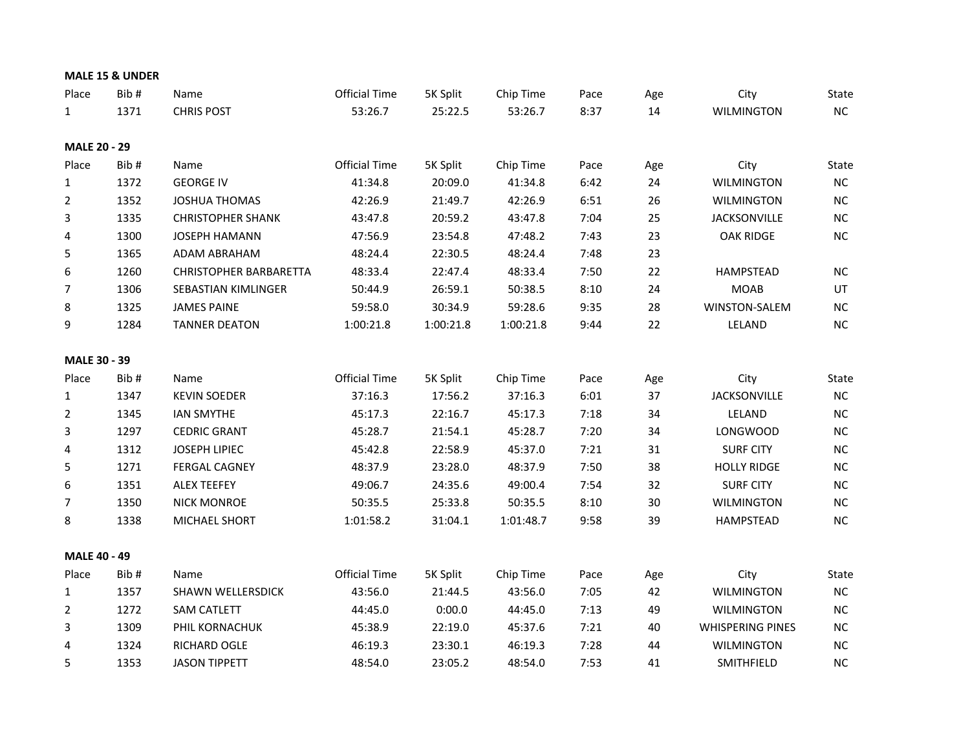|                     | MALE 15 & UNDER |                               |                      |           |           |      |     |                         |           |
|---------------------|-----------------|-------------------------------|----------------------|-----------|-----------|------|-----|-------------------------|-----------|
| Place               | Bib#            | Name                          | <b>Official Time</b> | 5K Split  | Chip Time | Pace | Age | City                    | State     |
| $\mathbf{1}$        | 1371            | <b>CHRIS POST</b>             | 53:26.7              | 25:22.5   | 53:26.7   | 8:37 | 14  | <b>WILMINGTON</b>       | NC        |
|                     |                 |                               |                      |           |           |      |     |                         |           |
| <b>MALE 20 - 29</b> |                 |                               |                      |           |           |      |     |                         |           |
| Place               | Bib#            | Name                          | <b>Official Time</b> | 5K Split  | Chip Time | Pace | Age | City                    | State     |
| $\mathbf{1}$        | 1372            | <b>GEORGE IV</b>              | 41:34.8              | 20:09.0   | 41:34.8   | 6:42 | 24  | <b>WILMINGTON</b>       | NC        |
| 2                   | 1352            | <b>JOSHUA THOMAS</b>          | 42:26.9              | 21:49.7   | 42:26.9   | 6:51 | 26  | <b>WILMINGTON</b>       | NC        |
| 3                   | 1335            | <b>CHRISTOPHER SHANK</b>      | 43:47.8              | 20:59.2   | 43:47.8   | 7:04 | 25  | <b>JACKSONVILLE</b>     | NC        |
| 4                   | 1300            | <b>JOSEPH HAMANN</b>          | 47:56.9              | 23:54.8   | 47:48.2   | 7:43 | 23  | <b>OAK RIDGE</b>        | NC        |
| 5                   | 1365            | ADAM ABRAHAM                  | 48:24.4              | 22:30.5   | 48:24.4   | 7:48 | 23  |                         |           |
| 6                   | 1260            | <b>CHRISTOPHER BARBARETTA</b> | 48:33.4              | 22:47.4   | 48:33.4   | 7:50 | 22  | HAMPSTEAD               | NC        |
| 7                   | 1306            | SEBASTIAN KIMLINGER           | 50:44.9              | 26:59.1   | 50:38.5   | 8:10 | 24  | <b>MOAB</b>             | UT        |
| 8                   | 1325            | <b>JAMES PAINE</b>            | 59:58.0              | 30:34.9   | 59:28.6   | 9:35 | 28  | WINSTON-SALEM           | NC.       |
| 9                   | 1284            | <b>TANNER DEATON</b>          | 1:00:21.8            | 1:00:21.8 | 1:00:21.8 | 9:44 | 22  | LELAND                  | NC        |
| MALE 30 - 39        |                 |                               |                      |           |           |      |     |                         |           |
| Place               | Bib#            | Name                          | <b>Official Time</b> | 5K Split  | Chip Time | Pace | Age | City                    | State     |
| $\mathbf{1}$        | 1347            | <b>KEVIN SOEDER</b>           | 37:16.3              | 17:56.2   | 37:16.3   | 6:01 | 37  | <b>JACKSONVILLE</b>     | NC        |
| $\overline{2}$      | 1345            | <b>IAN SMYTHE</b>             | 45:17.3              | 22:16.7   | 45:17.3   | 7:18 | 34  | LELAND                  | NC        |
| 3                   | 1297            | <b>CEDRIC GRANT</b>           | 45:28.7              | 21:54.1   | 45:28.7   | 7:20 | 34  | <b>LONGWOOD</b>         | NC.       |
| 4                   | 1312            | <b>JOSEPH LIPIEC</b>          | 45:42.8              | 22:58.9   | 45:37.0   | 7:21 | 31  | <b>SURF CITY</b>        | NC        |
| 5                   | 1271            | <b>FERGAL CAGNEY</b>          | 48:37.9              | 23:28.0   | 48:37.9   | 7:50 | 38  | <b>HOLLY RIDGE</b>      | <b>NC</b> |
| 6                   | 1351            | <b>ALEX TEEFEY</b>            | 49:06.7              | 24:35.6   | 49:00.4   | 7:54 | 32  | <b>SURF CITY</b>        | NC        |
| 7                   | 1350            | <b>NICK MONROE</b>            | 50:35.5              | 25:33.8   | 50:35.5   | 8:10 | 30  | <b>WILMINGTON</b>       | NC        |
| 8                   | 1338            | MICHAEL SHORT                 | 1:01:58.2            | 31:04.1   | 1:01:48.7 | 9:58 | 39  | <b>HAMPSTEAD</b>        | NC        |
| <b>MALE 40 - 49</b> |                 |                               |                      |           |           |      |     |                         |           |
| Place               | Bib#            | Name                          | <b>Official Time</b> | 5K Split  | Chip Time | Pace | Age | City                    | State     |
| $\mathbf{1}$        | 1357            | <b>SHAWN WELLERSDICK</b>      | 43:56.0              | 21:44.5   | 43:56.0   | 7:05 | 42  | <b>WILMINGTON</b>       | NC        |
| $\overline{2}$      | 1272            | <b>SAM CATLETT</b>            | 44:45.0              | 0:00.0    | 44:45.0   | 7:13 | 49  | <b>WILMINGTON</b>       | NC        |
| 3                   | 1309            | PHIL KORNACHUK                | 45:38.9              | 22:19.0   | 45:37.6   | 7:21 | 40  | <b>WHISPERING PINES</b> | <b>NC</b> |
| 4                   | 1324            | RICHARD OGLE                  | 46:19.3              | 23:30.1   | 46:19.3   | 7:28 | 44  | <b>WILMINGTON</b>       | NC        |
| 5                   | 1353            | <b>JASON TIPPETT</b>          | 48:54.0              | 23:05.2   | 48:54.0   | 7:53 | 41  | SMITHFIELD              | NC.       |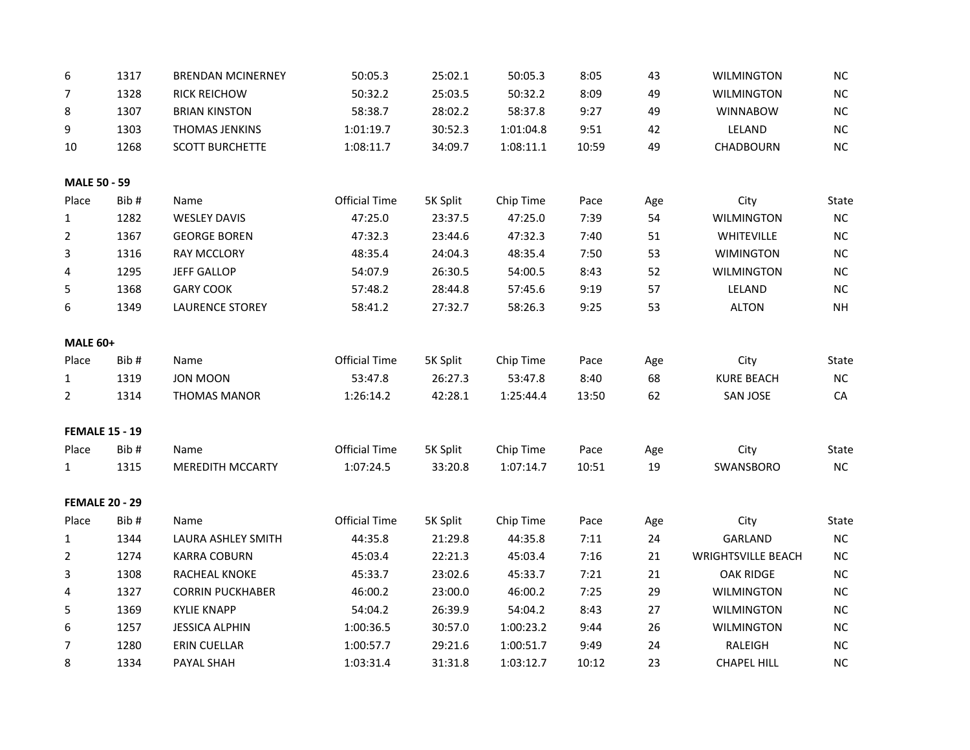| 6                     | 1317 | <b>BRENDAN MCINERNEY</b> | 50:05.3              | 25:02.1  | 50:05.3   | 8:05  | 43  | <b>WILMINGTON</b>         | NC        |
|-----------------------|------|--------------------------|----------------------|----------|-----------|-------|-----|---------------------------|-----------|
| 7                     | 1328 | <b>RICK REICHOW</b>      | 50:32.2              | 25:03.5  | 50:32.2   | 8:09  | 49  | <b>WILMINGTON</b>         | $\sf NC$  |
| 8                     | 1307 | <b>BRIAN KINSTON</b>     | 58:38.7              | 28:02.2  | 58:37.8   | 9:27  | 49  | <b>WINNABOW</b>           | NC        |
| 9                     | 1303 | THOMAS JENKINS           | 1:01:19.7            | 30:52.3  | 1:01:04.8 | 9:51  | 42  | LELAND                    | NC        |
| 10                    | 1268 | <b>SCOTT BURCHETTE</b>   | 1:08:11.7            | 34:09.7  | 1:08:11.1 | 10:59 | 49  | CHADBOURN                 | NC        |
| <b>MALE 50 - 59</b>   |      |                          |                      |          |           |       |     |                           |           |
| Place                 | Bib# | Name                     | <b>Official Time</b> | 5K Split | Chip Time | Pace  | Age | City                      | State     |
| $\mathbf{1}$          | 1282 | <b>WESLEY DAVIS</b>      | 47:25.0              | 23:37.5  | 47:25.0   | 7:39  | 54  | <b>WILMINGTON</b>         | <b>NC</b> |
| $\overline{2}$        | 1367 | <b>GEORGE BOREN</b>      | 47:32.3              | 23:44.6  | 47:32.3   | 7:40  | 51  | WHITEVILLE                | $NC$      |
| 3                     | 1316 | <b>RAY MCCLORY</b>       | 48:35.4              | 24:04.3  | 48:35.4   | 7:50  | 53  | <b>WIMINGTON</b>          | NC        |
| 4                     | 1295 | <b>JEFF GALLOP</b>       | 54:07.9              | 26:30.5  | 54:00.5   | 8:43  | 52  | <b>WILMINGTON</b>         | NC        |
| 5                     | 1368 | <b>GARY COOK</b>         | 57:48.2              | 28:44.8  | 57:45.6   | 9:19  | 57  | LELAND                    | NC        |
| 6                     | 1349 | <b>LAURENCE STOREY</b>   | 58:41.2              | 27:32.7  | 58:26.3   | 9:25  | 53  | <b>ALTON</b>              | <b>NH</b> |
| <b>MALE 60+</b>       |      |                          |                      |          |           |       |     |                           |           |
| Place                 | Bib# | Name                     | <b>Official Time</b> | 5K Split | Chip Time | Pace  | Age | City                      | State     |
| $\mathbf{1}$          | 1319 | <b>JON MOON</b>          | 53:47.8              | 26:27.3  | 53:47.8   | 8:40  | 68  | <b>KURE BEACH</b>         | NC        |
| $\overline{2}$        | 1314 | <b>THOMAS MANOR</b>      | 1:26:14.2            | 42:28.1  | 1:25:44.4 | 13:50 | 62  | <b>SAN JOSE</b>           | CA        |
| <b>FEMALE 15 - 19</b> |      |                          |                      |          |           |       |     |                           |           |
| Place                 | Bib# | Name                     | <b>Official Time</b> | 5K Split | Chip Time | Pace  | Age | City                      | State     |
| $\mathbf{1}$          | 1315 | <b>MEREDITH MCCARTY</b>  | 1:07:24.5            | 33:20.8  | 1:07:14.7 | 10:51 | 19  | SWANSBORO                 | NC        |
| <b>FEMALE 20 - 29</b> |      |                          |                      |          |           |       |     |                           |           |
| Place                 | Bib# | Name                     | <b>Official Time</b> | 5K Split | Chip Time | Pace  | Age | City                      | State     |
| 1                     | 1344 | LAURA ASHLEY SMITH       | 44:35.8              | 21:29.8  | 44:35.8   | 7:11  | 24  | <b>GARLAND</b>            | NC        |
| $\overline{2}$        | 1274 | <b>KARRA COBURN</b>      | 45:03.4              | 22:21.3  | 45:03.4   | 7:16  | 21  | <b>WRIGHTSVILLE BEACH</b> | <b>NC</b> |
| 3                     | 1308 | <b>RACHEAL KNOKE</b>     | 45:33.7              | 23:02.6  | 45:33.7   | 7:21  | 21  | <b>OAK RIDGE</b>          | NC        |
| 4                     | 1327 | <b>CORRIN PUCKHABER</b>  | 46:00.2              | 23:00.0  | 46:00.2   | 7:25  | 29  | <b>WILMINGTON</b>         | <b>NC</b> |
| 5                     | 1369 | <b>KYLIE KNAPP</b>       | 54:04.2              | 26:39.9  | 54:04.2   | 8:43  | 27  | <b>WILMINGTON</b>         | NC        |
| 6                     | 1257 | <b>JESSICA ALPHIN</b>    | 1:00:36.5            | 30:57.0  | 1:00:23.2 | 9:44  | 26  | <b>WILMINGTON</b>         | <b>NC</b> |
| $\overline{7}$        | 1280 | <b>ERIN CUELLAR</b>      | 1:00:57.7            | 29:21.6  | 1:00:51.7 | 9:49  | 24  | RALEIGH                   | NC        |
| 8                     | 1334 | PAYAL SHAH               | 1:03:31.4            | 31:31.8  | 1:03:12.7 | 10:12 | 23  | <b>CHAPEL HILL</b>        | NC        |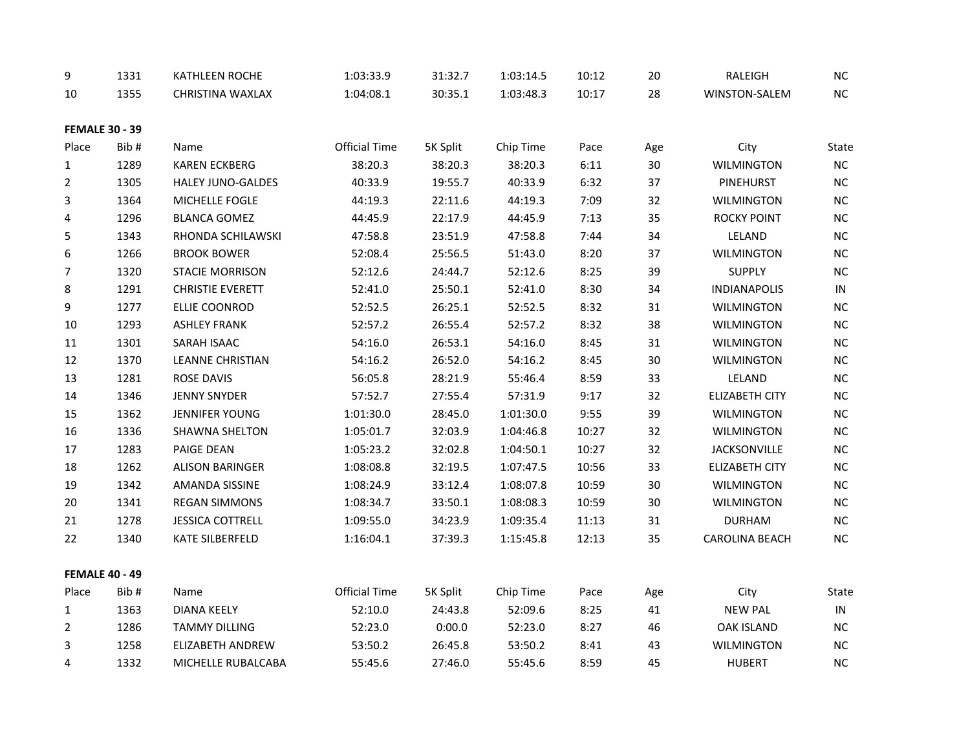| 9              | 1331                  | KATHLEEN ROCHE           | 1:03:33.9            | 31:32.7  | 1:03:14.5 | 10:12 | 20  | RALEIGH               | <b>NC</b> |
|----------------|-----------------------|--------------------------|----------------------|----------|-----------|-------|-----|-----------------------|-----------|
| 10             | 1355                  | CHRISTINA WAXLAX         | 1:04:08.1            | 30:35.1  | 1:03:48.3 | 10:17 | 28  | WINSTON-SALEM         | NC        |
|                | <b>FEMALE 30 - 39</b> |                          |                      |          |           |       |     |                       |           |
| Place          | Bib#                  | Name                     | Official Time        | 5K Split | Chip Time | Pace  | Age | City                  | State     |
| 1              | 1289                  | <b>KAREN ECKBERG</b>     | 38:20.3              | 38:20.3  | 38:20.3   | 6:11  | 30  | <b>WILMINGTON</b>     | $\sf NC$  |
| $\overline{2}$ | 1305                  | <b>HALEY JUNO-GALDES</b> | 40:33.9              | 19:55.7  | 40:33.9   | 6:32  | 37  | <b>PINEHURST</b>      | NC        |
| 3              | 1364                  | MICHELLE FOGLE           | 44:19.3              | 22:11.6  | 44:19.3   | 7:09  | 32  | <b>WILMINGTON</b>     | NC        |
| 4              | 1296                  | <b>BLANCA GOMEZ</b>      | 44:45.9              | 22:17.9  | 44:45.9   | 7:13  | 35  | ROCKY POINT           | NC        |
| 5              | 1343                  | RHONDA SCHILAWSKI        | 47:58.8              | 23:51.9  | 47:58.8   | 7:44  | 34  | LELAND                | NC        |
| 6              | 1266                  | <b>BROOK BOWER</b>       | 52:08.4              | 25:56.5  | 51:43.0   | 8:20  | 37  | <b>WILMINGTON</b>     | NC        |
| 7              | 1320                  | <b>STACIE MORRISON</b>   | 52:12.6              | 24:44.7  | 52:12.6   | 8:25  | 39  | <b>SUPPLY</b>         | NC        |
| 8              | 1291                  | <b>CHRISTIE EVERETT</b>  | 52:41.0              | 25:50.1  | 52:41.0   | 8:30  | 34  | <b>INDIANAPOLIS</b>   | IN        |
| 9              | 1277                  | ELLIE COONROD            | 52:52.5              | 26:25.1  | 52:52.5   | 8:32  | 31  | <b>WILMINGTON</b>     | NC        |
| 10             | 1293                  | <b>ASHLEY FRANK</b>      | 52:57.2              | 26:55.4  | 52:57.2   | 8:32  | 38  | <b>WILMINGTON</b>     | NC        |
| 11             | 1301                  | SARAH ISAAC              | 54:16.0              | 26:53.1  | 54:16.0   | 8:45  | 31  | <b>WILMINGTON</b>     | $\sf NC$  |
| 12             | 1370                  | <b>LEANNE CHRISTIAN</b>  | 54:16.2              | 26:52.0  | 54:16.2   | 8:45  | 30  | <b>WILMINGTON</b>     | $\sf NC$  |
| 13             | 1281                  | <b>ROSE DAVIS</b>        | 56:05.8              | 28:21.9  | 55:46.4   | 8:59  | 33  | LELAND                | NC        |
| 14             | 1346                  | <b>JENNY SNYDER</b>      | 57:52.7              | 27:55.4  | 57:31.9   | 9:17  | 32  | <b>ELIZABETH CITY</b> | NC        |
| 15             | 1362                  | <b>JENNIFER YOUNG</b>    | 1:01:30.0            | 28:45.0  | 1:01:30.0 | 9:55  | 39  | WILMINGTON            | NC        |
| 16             | 1336                  | SHAWNA SHELTON           | 1:05:01.7            | 32:03.9  | 1:04:46.8 | 10:27 | 32  | <b>WILMINGTON</b>     | NC        |
| 17             | 1283                  | PAIGE DEAN               | 1:05:23.2            | 32:02.8  | 1:04:50.1 | 10:27 | 32  | JACKSONVILLE          | NC        |
| 18             | 1262                  | <b>ALISON BARINGER</b>   | 1:08:08.8            | 32:19.5  | 1:07:47.5 | 10:56 | 33  | <b>ELIZABETH CITY</b> | NC        |
| 19             | 1342                  | AMANDA SISSINE           | 1:08:24.9            | 33:12.4  | 1:08:07.8 | 10:59 | 30  | <b>WILMINGTON</b>     | NC        |
| 20             | 1341                  | <b>REGAN SIMMONS</b>     | 1:08:34.7            | 33:50.1  | 1:08:08.3 | 10:59 | 30  | <b>WILMINGTON</b>     | NC        |
| 21             | 1278                  | <b>JESSICA COTTRELL</b>  | 1:09:55.0            | 34:23.9  | 1:09:35.4 | 11:13 | 31  | <b>DURHAM</b>         | NC        |
| 22             | 1340                  | KATE SILBERFELD          | 1:16:04.1            | 37:39.3  | 1:15:45.8 | 12:13 | 35  | <b>CAROLINA BEACH</b> | NC        |
|                | <b>FEMALE 40 - 49</b> |                          |                      |          |           |       |     |                       |           |
| Place          | Bib#                  | Name                     | <b>Official Time</b> | 5K Split | Chip Time | Pace  | Age | City                  | State     |
| $\mathbf{1}$   | 1363                  | <b>DIANA KEELY</b>       | 52:10.0              | 24:43.8  | 52:09.6   | 8:25  | 41  | <b>NEW PAL</b>        | IN        |
| 2              | 1286                  | <b>TAMMY DILLING</b>     | 52:23.0              | 0:00.0   | 52:23.0   | 8:27  | 46  | <b>OAK ISLAND</b>     | NC        |
| 3              | 1258                  | ELIZABETH ANDREW         | 53:50.2              | 26:45.8  | 53:50.2   | 8:41  | 43  | <b>WILMINGTON</b>     | NC        |
| 4              | 1332                  | MICHELLE RUBALCABA       | 55:45.6              | 27:46.0  | 55:45.6   | 8:59  | 45  | <b>HUBERT</b>         | NC        |